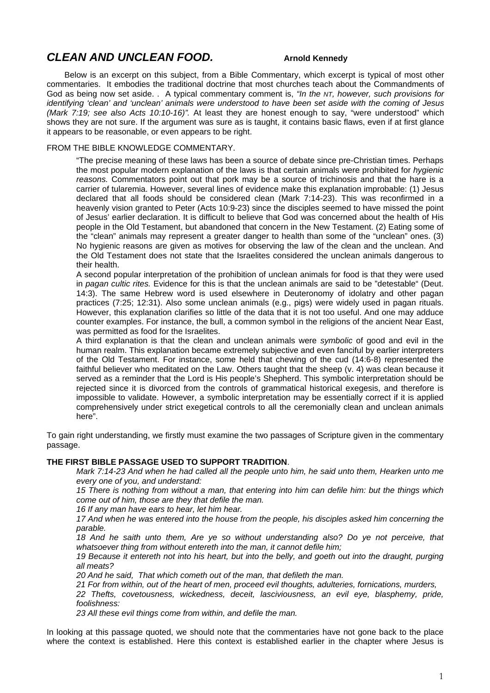## *CLEAN AND UNCLEAN FOOD.* **Arnold Kennedy**

Below is an excerpt on this subject, from a Bible Commentary, which excerpt is typical of most other commentaries. It embodies the traditional doctrine that most churches teach about the Commandments of God as being now set aside. . A typical commentary comment is, *"In the NT, however, such provisions for identifying 'clean' and 'unclean' animals were understood to have been set aside with the coming of Jesus (Mark 7:19; see also Acts 10:10-16)".* At least they are honest enough to say, "were understood" which shows they are not sure. If the argument was sure as is taught, it contains basic flaws, even if at first glance it appears to be reasonable, or even appears to be right.

#### FROM THE BIBLE KNOWLEDGE COMMENTARY.

"The precise meaning of these laws has been a source of debate since pre-Christian times. Perhaps the most popular modern explanation of the laws is that certain animals were prohibited for *hygienic reasons.* Commentators point out that pork may be a source of trichinosis and that the hare is a carrier of tularemia. However, several lines of evidence make this explanation improbable: (1) Jesus declared that all foods should be considered clean (Mark 7:14-23). This was reconfirmed in a heavenly vision granted to Peter (Acts 10:9-23) since the disciples seemed to have missed the point of Jesus' earlier declaration. It is difficult to believe that God was concerned about the health of His people in the Old Testament, but abandoned that concern in the New Testament. (2) Eating some of the "clean" animals may represent a greater danger to health than some of the "unclean" ones. (3) No hygienic reasons are given as motives for observing the law of the clean and the unclean. And the Old Testament does not state that the Israelites considered the unclean animals dangerous to their health.

A second popular interpretation of the prohibition of unclean animals for food is that they were used in *pagan cultic rites.* Evidence for this is that the unclean animals are said to be "detestable" (Deut. 14:3). The same Hebrew word is used elsewhere in Deuteronomy of idolatry and other pagan practices (7:25; 12:31). Also some unclean animals (e.g., pigs) were widely used in pagan rituals. However, this explanation clarifies so little of the data that it is not too useful. And one may adduce counter examples. For instance, the bull, a common symbol in the religions of the ancient Near East, was permitted as food for the Israelites.

A third explanation is that the clean and unclean animals were *symbolic* of good and evil in the human realm. This explanation became extremely subjective and even fanciful by earlier interpreters of the Old Testament. For instance, some held that chewing of the cud (14:6-8) represented the faithful believer who meditated on the Law. Others taught that the sheep (v. 4) was clean because it served as a reminder that the Lord is His people's Shepherd. This symbolic interpretation should be rejected since it is divorced from the controls of grammatical historical exegesis, and therefore is impossible to validate. However, a symbolic interpretation may be essentially correct if it is applied comprehensively under strict exegetical controls to all the ceremonially clean and unclean animals here".

To gain right understanding, we firstly must examine the two passages of Scripture given in the commentary passage.

#### **THE FIRST BIBLE PASSAGE USED TO SUPPORT TRADITION**.

*Mark 7:14-23 And when he had called all the people unto him, he said unto them, Hearken unto me every one of you, and understand:* 

*15 There is nothing from without a man, that entering into him can defile him: but the things which come out of him, those are they that defile the man.* 

*16 If any man have ears to hear, let him hear.* 

*17 And when he was entered into the house from the people, his disciples asked him concerning the parable.* 

*18 And he saith unto them, Are ye so without understanding also? Do ye not perceive, that whatsoever thing from without entereth into the man, it cannot defile him;* 

*19 Because it entereth not into his heart, but into the belly, and goeth out into the draught, purging all meats?* 

*20 And he said, That which cometh out of the man, that defileth the man.* 

*21 For from within, out of the heart of men, proceed evil thoughts, adulteries, fornications, murders,* 

*22 Thefts, covetousness, wickedness, deceit, lasciviousness, an evil eye, blasphemy, pride, foolishness:* 

*23 All these evil things come from within, and defile the man.* 

In looking at this passage quoted, we should note that the commentaries have not gone back to the place where the context is established. Here this context is established earlier in the chapter where Jesus is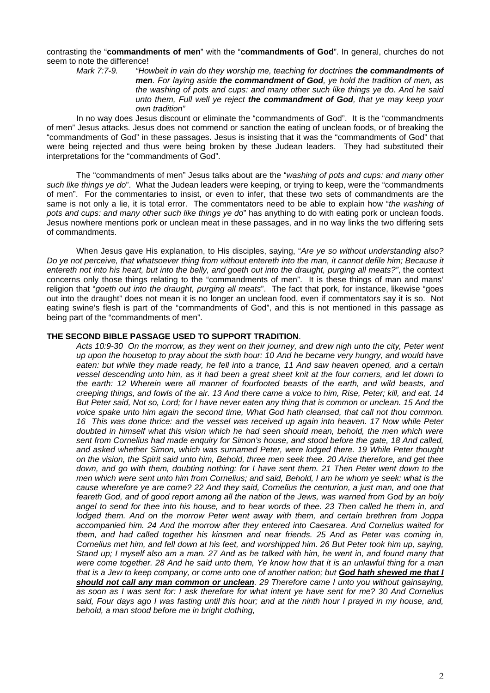contrasting the "**commandments of men**" with the "**commandments of God**". In general, churches do not seem to note the difference!<br>Mark 7:7-9. "Ho

*Mark 7:7-9. "Howbeit in vain do they worship me, teaching for doctrines the commandments of men. For laying aside the commandment of God, ye hold the tradition of men, as the washing of pots and cups: and many other such like things ye do. And he said unto them, Full well ye reject the commandment of God, that ye may keep your own tradition"* 

In no way does Jesus discount or eliminate the "commandments of God". It is the "commandments of men" Jesus attacks. Jesus does not commend or sanction the eating of unclean foods, or of breaking the "commandments of God" in these passages. Jesus is insisting that it was the "commandments of God" that were being rejected and thus were being broken by these Judean leaders. They had substituted their interpretations for the "commandments of God".

The "commandments of men" Jesus talks about are the "*washing of pots and cups: and many other such like things ye do*". What the Judean leaders were keeping, or trying to keep, were the "commandments of men". For the commentaries to insist, or even to infer, that these two sets of commandments are the same is not only a lie, it is total error. The commentators need to be able to explain how "*the washing of pots and cups: and many other such like things ye do*" has anything to do with eating pork or unclean foods. Jesus nowhere mentions pork or unclean meat in these passages, and in no way links the two differing sets of commandments.

When Jesus gave His explanation, to His disciples, saying, "*Are ye so without understanding also? Do ye not perceive, that whatsoever thing from without entereth into the man, it cannot defile him; Because it entereth not into his heart, but into the belly, and goeth out into the draught, purging all meats?"*, the context concerns only those things relating to the "commandments of men". It is these things of man and mans' religion that "*goeth out into the draught, purging all meats*". The fact that pork, for instance, likewise "goes out into the draught" does not mean it is no longer an unclean food, even if commentators say it is so. Not eating swine's flesh is part of the "commandments of God", and this is not mentioned in this passage as being part of the "commandments of men".

#### **THE SECOND BIBLE PASSAGE USED TO SUPPORT TRADITION**.

*Acts 10:9-30 On the morrow, as they went on their journey, and drew nigh unto the city, Peter went up upon the housetop to pray about the sixth hour: 10 And he became very hungry, and would have*  eaten: but while they made ready, he fell into a trance, 11 And saw heaven opened, and a certain *vessel descending unto him, as it had been a great sheet knit at the four corners, and let down to the earth: 12 Wherein were all manner of fourfooted beasts of the earth, and wild beasts, and creeping things, and fowls of the air. 13 And there came a voice to him, Rise, Peter; kill, and eat. 14 But Peter said, Not so, Lord; for I have never eaten any thing that is common or unclean. 15 And the voice spake unto him again the second time, What God hath cleansed, that call not thou common. 16 This was done thrice: and the vessel was received up again into heaven. 17 Now while Peter doubted in himself what this vision which he had seen should mean, behold, the men which were sent from Cornelius had made enquiry for Simon's house, and stood before the gate, 18 And called, and asked whether Simon, which was surnamed Peter, were lodged there. 19 While Peter thought on the vision, the Spirit said unto him, Behold, three men seek thee. 20 Arise therefore, and get thee down, and go with them, doubting nothing: for I have sent them. 21 Then Peter went down to the men which were sent unto him from Cornelius; and said, Behold, I am he whom ye seek: what is the cause wherefore ye are come? 22 And they said, Cornelius the centurion, a just man, and one that feareth God, and of good report among all the nation of the Jews, was warned from God by an holy angel to send for thee into his house, and to hear words of thee. 23 Then called he them in, and lodged them. And on the morrow Peter went away with them, and certain brethren from Joppa accompanied him. 24 And the morrow after they entered into Caesarea. And Cornelius waited for them, and had called together his kinsmen and near friends. 25 And as Peter was coming in, Cornelius met him, and fell down at his feet, and worshipped him. 26 But Peter took him up, saying, Stand up; I myself also am a man. 27 And as he talked with him, he went in, and found many that were come together. 28 And he said unto them, Ye know how that it is an unlawful thing for a man that is a Jew to keep company, or come unto one of another nation; but God hath shewed me that I should not call any man common or unclean. 29 Therefore came I unto you without gainsaying, as soon as I was sent for: I ask therefore for what intent ye have sent for me? 30 And Cornelius said, Four days ago I was fasting until this hour; and at the ninth hour I prayed in my house, and, behold, a man stood before me in bright clothing,*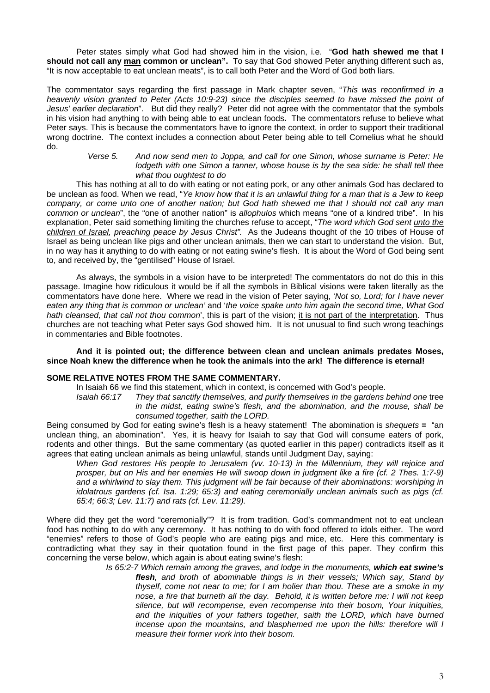Peter states simply what God had showed him in the vision, i.e. "**God hath shewed me that I should not call any man common or unclean".** To say that God showed Peter anything different such as, "It is now acceptable to eat unclean meats", is to call both Peter and the Word of God both liars.

The commentator says regarding the first passage in Mark chapter seven, "*This was reconfirmed in a heavenly vision granted to Peter (Acts 10:9-23) since the disciples seemed to have missed the point of Jesus' earlier declaration*". But did they really? Peter did not agree with the commentator that the symbols in his vision had anything to with being able to eat unclean foods**.** The commentators refuse to believe what Peter says. This is because the commentators have to ignore the context, in order to support their traditional wrong doctrine. The context includes a connection about Peter being able to tell Cornelius what he should do.

> *Verse 5. And now send men to Joppa, and call for one Simon, whose surname is Peter: He lodgeth with one Simon a tanner, whose house is by the sea side: he shall tell thee what thou oughtest to do*

This has nothing at all to do with eating or not eating pork, or any other animals God has declared to be unclean as food. When we read, "*Ye know how that it is an unlawful thing for a man that is a Jew to keep company, or come unto one of another nation; but God hath shewed me that I should not call any man common or unclean*", the "one of another nation" is *allophulos* which means "one of a kindred tribe". In his explanation, Peter said something limiting the churches refuse to accept, "*The word which God sent unto the children of Israel, preaching peace by Jesus Christ".* As the Judeans thought of the 10 tribes of House of Israel as being unclean like pigs and other unclean animals, then we can start to understand the vision. But, in no way has it anything to do with eating or not eating swine's flesh. It is about the Word of God being sent to, and received by, the "gentilised" House of Israel.

As always, the symbols in a vision have to be interpreted! The commentators do not do this in this passage. Imagine how ridiculous it would be if all the symbols in Biblical visions were taken literally as the commentators have done here. Where we read in the vision of Peter saying, '*Not so, Lord; for I have never eaten any thing that is common or unclean'* and '*the voice spake unto him again the second time, What God hath cleansed, that call not thou common*', this is part of the vision; it is not part of the interpretation. Thus churches are not teaching what Peter says God showed him. It is not unusual to find such wrong teachings in commentaries and Bible footnotes.

#### **And it is pointed out; the difference between clean and unclean animals predates Moses, since Noah knew the difference when he took the animals into the ark! The difference is eternal!**

#### **SOME RELATIVE NOTES FROM THE SAME COMMENTARY.**

In Isaiah 66 we find this statement, which in context, is concerned with God's people.

Isaiah 66:17 They that sanctify themselves, and purify themselves in the gardens behind one tree *in the midst, eating swine's flesh, and the abomination, and the mouse, shall be consumed together, saith the LORD.* 

Being consumed by God for eating swine's flesh is a heavy statement! The abomination is *shequets =* "an unclean thing, an abomination". Yes, it is heavy for Isaiah to say that God will consume eaters of pork, rodents and other things. But the same commentary (as quoted earlier in this paper) contradicts itself as it agrees that eating unclean animals as being unlawful, stands until Judgment Day, saying:

*When God restores His people to Jerusalem (vv. 10-13) in the Millennium, they will rejoice and*  prosper, but on His and her enemies He will swoop down in judgment like a fire (cf. 2 Thes. 1:7-9) *and a whirlwind to slay them. This judgment will be fair because of their abominations: worshiping in idolatrous gardens (cf. Isa. 1:29; 65:3) and eating ceremonially unclean animals such as pigs (cf. 65:4; 66:3; Lev. 11:7) and rats (cf. Lev. 11:29).* 

Where did they get the word "ceremonially"? It is from tradition. God's commandment not to eat unclean food has nothing to do with any ceremony. It has nothing to do with food offered to idols either. The word "enemies" refers to those of God's people who are eating pigs and mice, etc. Here this commentary is contradicting what they say in their quotation found in the first page of this paper. They confirm this concerning the verse below, which again is about eating swine's flesh:

*Is 65:2-7 Which remain among the graves, and lodge in the monuments, which eat swine's flesh, and broth of abominable things is in their vessels; Which say, Stand by thyself, come not near to me; for I am holier than thou. These are a smoke in my nose, a fire that burneth all the day. Behold, it is written before me: I will not keep silence, but will recompense, even recompense into their bosom, Your iniquities,*  and the iniquities of your fathers together, saith the LORD, which have burned *incense upon the mountains, and blasphemed me upon the hills: therefore will I measure their former work into their bosom.*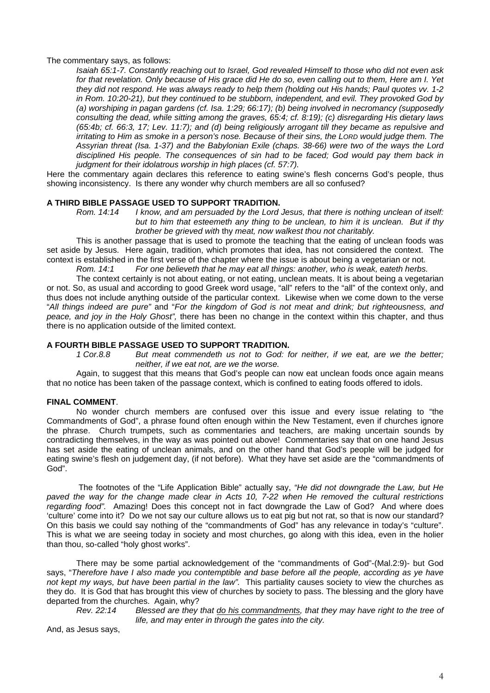The commentary says, as follows:

*Isaiah 65:1-7. Constantly reaching out to Israel, God revealed Himself to those who did not even ask for that revelation. Only because of His grace did He do so, even calling out to them, Here am I. Yet they did not respond. He was always ready to help them (holding out His hands; Paul quotes vv. 1-2 in Rom. 10:20-21), but they continued to be stubborn, independent, and evil. They provoked God by (a) worshiping in pagan gardens (cf. Isa. 1:29; 66:17); (b) being involved in necromancy (supposedly consulting the dead, while sitting among the graves, 65:4; cf. 8:19); (c) disregarding His dietary laws (65:4b; cf. 66:3, 17; Lev. 11:7); and (d) being religiously arrogant till they became as repulsive and irritating to Him as smoke in a person's nose. Because of their sins, the LORD would judge them. The Assyrian threat (Isa. 1-37) and the Babylonian Exile (chaps. 38-66) were two of the ways the Lord disciplined His people. The consequences of sin had to be faced; God would pay them back in judgment for their idolatrous worship in high places (cf. 57:7).* 

Here the commentary again declares this reference to eating swine's flesh concerns God's people, thus showing inconsistency. Is there any wonder why church members are all so confused?

### **A THIRD BIBLE PASSAGE USED TO SUPPORT TRADITION.**

*Rom. 14:14 I know, and am persuaded by the Lord Jesus, that there is nothing unclean of itself: but to him that esteemeth any thing to be unclean, to him it is unclean. But if thy brother be grieved with* thy *meat, now walkest thou not charitably.* 

This is another passage that is used to promote the teaching that the eating of unclean foods was set aside by Jesus. Here again, tradition, which promotes that idea, has not considered the context. The context is established in the first verse of the chapter where the issue is about being a vegetarian or not.

*Rom. 14:1 For one believeth that he may eat all things: another, who is weak, eateth herbs.* 

The context certainly is not about eating, or not eating, unclean meats. It is about being a vegetarian or not. So, as usual and according to good Greek word usage, "all" refers to the "all" of the context only, and thus does not include anything outside of the particular context. Likewise when we come down to the verse "*All things indeed are pure"* and "*For the kingdom of God is not meat and drink; but righteousness, and peace, and joy in the Holy Ghost",* there has been no change in the context within this chapter, and thus there is no application outside of the limited context.

# **A FOURTH BIBLE PASSAGE USED TO SUPPORT TRADITION.**

But meat commendeth us not to God: for neither, if we eat, are we the better; *neither, if we eat not, are we the worse.* 

Again, to suggest that this means that God's people can now eat unclean foods once again means that no notice has been taken of the passage context, which is confined to eating foods offered to idols.

#### **FINAL COMMENT**.

No wonder church members are confused over this issue and every issue relating to "the Commandments of God", a phrase found often enough within the New Testament, even if churches ignore the phrase. Church trumpets, such as commentaries and teachers, are making uncertain sounds by contradicting themselves, in the way as was pointed out above! Commentaries say that on one hand Jesus has set aside the eating of unclean animals, and on the other hand that God's people will be judged for eating swine's flesh on judgement day, (if not before). What they have set aside are the "commandments of God".

 The footnotes of the "Life Application Bible" actually say, *"He did not downgrade the Law, but He paved the way for the change made clear in Acts 10, 7-22 when He removed the cultural restrictions regarding food".* Amazing! Does this concept not in fact downgrade the Law of God? And where does 'culture' come into it? Do we not say our culture allows us to eat pig but not rat, so that is now our standard? On this basis we could say nothing of the "commandments of God" has any relevance in today's "culture". This is what we are seeing today in society and most churches, go along with this idea, even in the holier than thou, so-called "holy ghost works".

There may be some partial acknowledgement of the "commandments of God"-(Mal.2:9)- but God says, "*Therefore have I also made you contemptible and base before all the people, according as ye have not kept my ways, but have been partial in the law".* This partiality causes society to view the churches as they do. It is God that has brought this view of churches by society to pass. The blessing and the glory have departed from the churches. Again, why?

*Rev. 22:14 Blessed are they that do his commandments, that they may have right to the tree of life, and may enter in through the gates into the city.* 

And, as Jesus says,